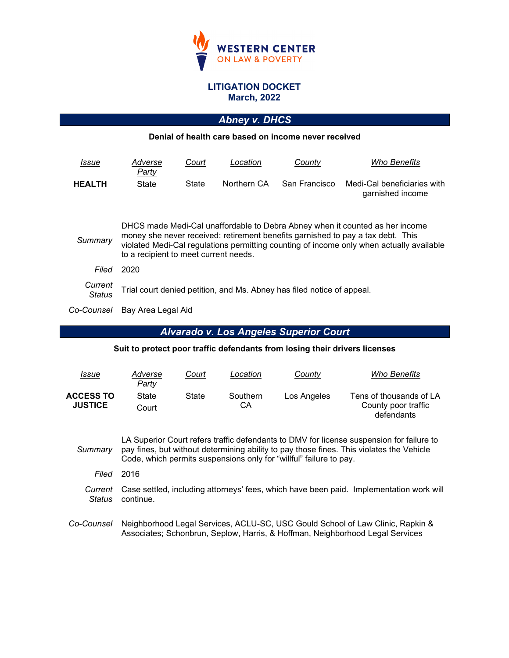

#### **LITIGATION DOCKET March, 2022**

# *Abney v. DHCS*

#### **Denial of health care based on income never received**

| Issue                    | Adverse<br>Party                                                                                                                                                                                                                                                                                     | Court | Location    | County                                                                 | <i><b>Who Benefits</b></i>                      |  |  |  |
|--------------------------|------------------------------------------------------------------------------------------------------------------------------------------------------------------------------------------------------------------------------------------------------------------------------------------------------|-------|-------------|------------------------------------------------------------------------|-------------------------------------------------|--|--|--|
| <b>HEALTH</b>            | State                                                                                                                                                                                                                                                                                                | State | Northern CA | San Francisco                                                          | Medi-Cal beneficiaries with<br>garnished income |  |  |  |
| Summary                  | DHCS made Medi-Cal unaffordable to Debra Abney when it counted as her income<br>money she never received: retirement benefits garnished to pay a tax debt. This<br>violated Medi-Cal regulations permitting counting of income only when actually available<br>to a recipient to meet current needs. |       |             |                                                                        |                                                 |  |  |  |
| Filed                    | 2020                                                                                                                                                                                                                                                                                                 |       |             |                                                                        |                                                 |  |  |  |
| Current<br><b>Status</b> |                                                                                                                                                                                                                                                                                                      |       |             | Trial court denied petition, and Ms. Abney has filed notice of appeal. |                                                 |  |  |  |
| Co-Counsel               | Bay Area Legal Aid                                                                                                                                                                                                                                                                                   |       |             |                                                                        |                                                 |  |  |  |

# *Alvarado v. Los Angeles Superior Court*

#### **Suit to protect poor traffic defendants from losing their drivers licenses**

| <u>Issue</u>                       | Adverse<br>Party | Court | Location       | County      | Who Benefits                                                 |
|------------------------------------|------------------|-------|----------------|-------------|--------------------------------------------------------------|
| <b>ACCESS TO</b><br><b>JUSTICE</b> | State<br>Court   | State | Southern<br>CА | Los Angeles | Tens of thousands of LA<br>County poor traffic<br>defendants |

| Summarv           | LA Superior Court refers traffic defendants to DMV for license suspension for failure to<br>pay fines, but without determining ability to pay those fines. This violates the Vehicle<br>Code, which permits suspensions only for "willful" failure to pay. |
|-------------------|------------------------------------------------------------------------------------------------------------------------------------------------------------------------------------------------------------------------------------------------------------|
| Filed             | 2016                                                                                                                                                                                                                                                       |
| Current<br>Status | Case settled, including attorneys' fees, which have been paid. Implementation work will<br>continue.                                                                                                                                                       |
| Co-Counsel        | Neighborhood Legal Services, ACLU-SC, USC Gould School of Law Clinic, Rapkin &<br>Associates; Schonbrun, Seplow, Harris, & Hoffman, Neighborhood Legal Services                                                                                            |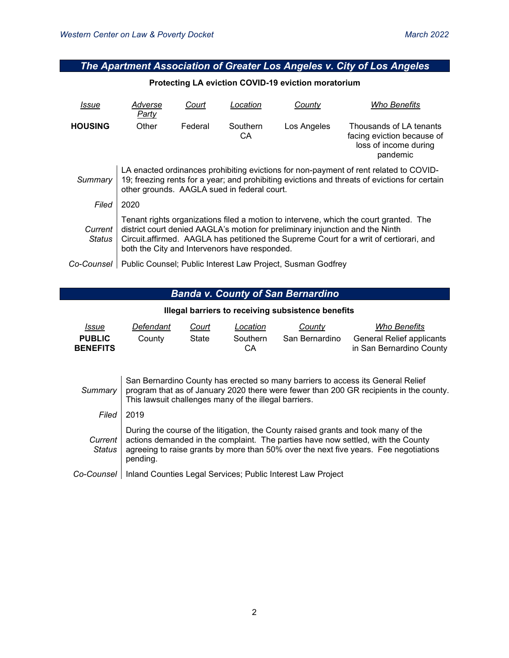### *The Apartment Association of Greater Los Angeles v. City of Los Angeles*

#### **Protecting LA eviction COVID-19 eviction moratorium**

| Issue             | Adverse<br><b>Party</b>                                                                                                                                                                                                                                                                                           | Court   | Location       | Countv                                                      | <b>Who Benefits</b>                                                                        |  |  |
|-------------------|-------------------------------------------------------------------------------------------------------------------------------------------------------------------------------------------------------------------------------------------------------------------------------------------------------------------|---------|----------------|-------------------------------------------------------------|--------------------------------------------------------------------------------------------|--|--|
| <b>HOUSING</b>    | Other                                                                                                                                                                                                                                                                                                             | Federal | Southern<br>СA | Los Angeles                                                 | Thousands of LA tenants<br>facing eviction because of<br>loss of income during<br>pandemic |  |  |
| Summary           | LA enacted ordinances prohibiting evictions for non-payment of rent related to COVID-<br>19; freezing rents for a year; and prohibiting evictions and threats of evictions for certain<br>other grounds. AAGLA sued in federal court.                                                                             |         |                |                                                             |                                                                                            |  |  |
| Filed             | 2020                                                                                                                                                                                                                                                                                                              |         |                |                                                             |                                                                                            |  |  |
| Current<br>Status | Tenant rights organizations filed a motion to intervene, which the court granted. The<br>district court denied AAGLA's motion for preliminary injunction and the Ninth<br>Circuit.affirmed. AAGLA has petitioned the Supreme Court for a writ of certiorari, and<br>both the City and Intervenors have responded. |         |                |                                                             |                                                                                            |  |  |
| Co-Counsel        |                                                                                                                                                                                                                                                                                                                   |         |                | Public Counsel; Public Interest Law Project, Susman Godfrey |                                                                                            |  |  |

# *Banda v. County of San Bernardino*

#### **Illegal barriers to receiving subsistence benefits**

| Issue<br><b>PUBLIC</b><br><b>BENEFITS</b> | Defendant<br>County                                                                                                                                                                                                                | Court<br>State | Location<br>Southern<br>CA | County<br>San Bernardino | Who Benefits<br><b>General Relief applicants</b><br>in San Bernardino County |  |  |  |
|-------------------------------------------|------------------------------------------------------------------------------------------------------------------------------------------------------------------------------------------------------------------------------------|----------------|----------------------------|--------------------------|------------------------------------------------------------------------------|--|--|--|
| Summarv                                   | San Bernardino County has erected so many barriers to access its General Relief<br>program that as of January 2020 there were fewer than 200 GR recipients in the county.<br>This lawsuit challenges many of the illegal barriers. |                |                            |                          |                                                                              |  |  |  |
| Filed                                     | 2019                                                                                                                                                                                                                               |                |                            |                          |                                                                              |  |  |  |
| Current                                   | During the course of the litigation, the County raised grants and took many of the<br>actions demanded in the complaint. The parties have now settled, with the County                                                             |                |                            |                          |                                                                              |  |  |  |

agreeing to raise grants by more than 50% over the next five years. Fee negotiations

# *Co-Counsel* Inland Counties Legal Services; Public Interest Law Project

*Status*

pending.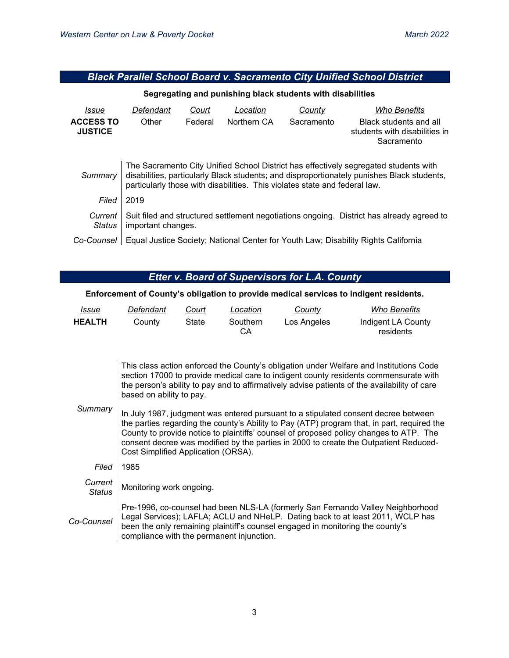### *Black Parallel School Board v. Sacramento City Unified School District*

#### **Segregating and punishing black students with disabilities**

| Issue                              | Defendant                                                                                                                                                                                                                                                        | Court   | Location    | County     | <b>Who Benefits</b>                                                   |  |  |
|------------------------------------|------------------------------------------------------------------------------------------------------------------------------------------------------------------------------------------------------------------------------------------------------------------|---------|-------------|------------|-----------------------------------------------------------------------|--|--|
| <b>ACCESS TO</b><br><b>JUSTICE</b> | Other                                                                                                                                                                                                                                                            | Federal | Northern CA | Sacramento | Black students and all<br>students with disabilities in<br>Sacramento |  |  |
| Summary                            | The Sacramento City Unified School District has effectively segregated students with<br>disabilities, particularly Black students; and disproportionately punishes Black students,<br>particularly those with disabilities. This violates state and federal law. |         |             |            |                                                                       |  |  |
| Filed                              | 2019                                                                                                                                                                                                                                                             |         |             |            |                                                                       |  |  |
| Current<br><b>Status</b>           | Suit filed and structured settlement negotiations ongoing. District has already agreed to<br>important changes.                                                                                                                                                  |         |             |            |                                                                       |  |  |
| Co-Counsel                         | Equal Justice Society; National Center for Youth Law; Disability Rights California                                                                                                                                                                               |         |             |            |                                                                       |  |  |

### *Etter v. Board of Supervisors for L.A. County*

#### **Enforcement of County's obligation to provide medical services to indigent residents.**

| <u>Issue</u>  | Defendant | Court | Location       | County      | Who Benefits                    |
|---------------|-----------|-------|----------------|-------------|---------------------------------|
| <b>HEALTH</b> | County    | State | Southern<br>CА | Los Angeles | Indigent LA County<br>residents |

| This class action enforced the County's obligation under Welfare and Institutions Code       |
|----------------------------------------------------------------------------------------------|
| section 17000 to provide medical care to indigent county residents commensurate with         |
| the person's ability to pay and to affirmatively advise patients of the availability of care |
| based on ability to pay.                                                                     |
|                                                                                              |

| Summary   In July 1987, judgment was entered pursuant to a stipulated consent decree between<br>the parties regarding the county's Ability to Pay (ATP) program that, in part, required the<br>County to provide notice to plaintiffs' counsel of proposed policy changes to ATP. The<br>consent decree was modified by the parties in 2000 to create the Outpatient Reduced-<br>Cost Simplified Application (ORSA). |
|----------------------------------------------------------------------------------------------------------------------------------------------------------------------------------------------------------------------------------------------------------------------------------------------------------------------------------------------------------------------------------------------------------------------|
|                                                                                                                                                                                                                                                                                                                                                                                                                      |

| Filed                    | 1985                                                                                                                                                                                                                                                                                             |
|--------------------------|--------------------------------------------------------------------------------------------------------------------------------------------------------------------------------------------------------------------------------------------------------------------------------------------------|
| Current<br><b>Status</b> | Monitoring work ongoing.                                                                                                                                                                                                                                                                         |
| Co-Counsel               | Pre-1996, co-counsel had been NLS-LA (formerly San Fernando Valley Neighborhood<br>Legal Services); LAFLA; ACLU and NHeLP. Dating back to at least 2011, WCLP has<br>been the only remaining plaintiff's counsel engaged in monitoring the county's<br>compliance with the permanent injunction. |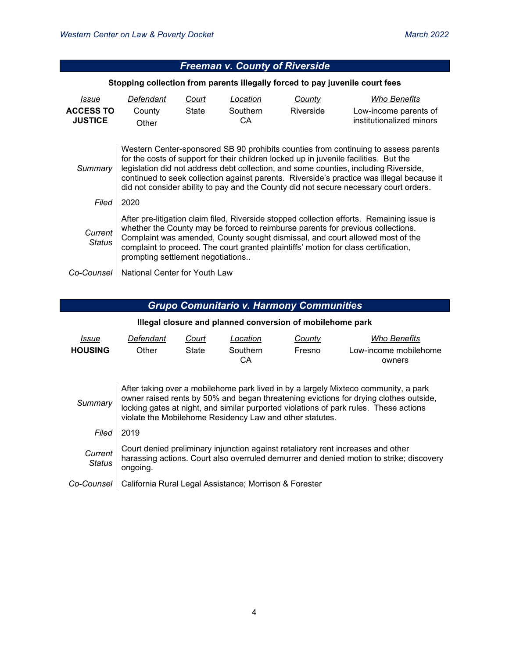|                                             |                                                                                                                                                                                                                                                                                                                                                                                                                                                            |                       | <b>Freeman v. County of Riverside</b> |                     |                                                                              |  |  |
|---------------------------------------------|------------------------------------------------------------------------------------------------------------------------------------------------------------------------------------------------------------------------------------------------------------------------------------------------------------------------------------------------------------------------------------------------------------------------------------------------------------|-----------------------|---------------------------------------|---------------------|------------------------------------------------------------------------------|--|--|
|                                             |                                                                                                                                                                                                                                                                                                                                                                                                                                                            |                       |                                       |                     | Stopping collection from parents illegally forced to pay juvenile court fees |  |  |
| Issue<br><b>ACCESS TO</b><br><b>JUSTICE</b> | Defendant<br>County<br>Other                                                                                                                                                                                                                                                                                                                                                                                                                               | Court<br><b>State</b> | Location<br>Southern<br>СA            | County<br>Riverside | Who Benefits<br>Low-income parents of<br>institutionalized minors            |  |  |
| Summary                                     | Western Center-sponsored SB 90 prohibits counties from continuing to assess parents<br>for the costs of support for their children locked up in juvenile facilities. But the<br>legislation did not address debt collection, and some counties, including Riverside,<br>continued to seek collection against parents. Riverside's practice was illegal because it<br>did not consider ability to pay and the County did not secure necessary court orders. |                       |                                       |                     |                                                                              |  |  |
| Filed                                       | 2020                                                                                                                                                                                                                                                                                                                                                                                                                                                       |                       |                                       |                     |                                                                              |  |  |
| Current<br><b>Status</b>                    | After pre-litigation claim filed, Riverside stopped collection efforts. Remaining issue is<br>whether the County may be forced to reimburse parents for previous collections.<br>Complaint was amended, County sought dismissal, and court allowed most of the<br>complaint to proceed. The court granted plaintiffs' motion for class certification,<br>prompting settlement negotiations                                                                 |                       |                                       |                     |                                                                              |  |  |
| Co-Counsel                                  | National Center for Youth Law                                                                                                                                                                                                                                                                                                                                                                                                                              |                       |                                       |                     |                                                                              |  |  |

# *Grupo Comunitario v. Harmony Communities*

#### **Illegal closure and planned conversion of mobilehome park**

| Issue          | Defendant | Court | Location       | Countv | Who Benefits                    |
|----------------|-----------|-------|----------------|--------|---------------------------------|
| <b>HOUSING</b> | Other     | State | Southern<br>CА | Fresno | Low-income mobilehome<br>owners |

| Summary                  | After taking over a mobilehome park lived in by a largely Mixteco community, a park<br>owner raised rents by 50% and began threatening evictions for drying clothes outside,<br>locking gates at night, and similar purported violations of park rules. These actions<br>violate the Mobilehome Residency Law and other statutes. |
|--------------------------|-----------------------------------------------------------------------------------------------------------------------------------------------------------------------------------------------------------------------------------------------------------------------------------------------------------------------------------|
| Filed I                  | 2019                                                                                                                                                                                                                                                                                                                              |
| Current<br><b>Status</b> | Court denied preliminary injunction against retaliatory rent increases and other<br>harassing actions. Court also overruled demurrer and denied motion to strike; discovery<br>ongoing.                                                                                                                                           |
|                          | 0 - Causaal I California Dural Lagal Assistance: Marriagn 9 Farcetor                                                                                                                                                                                                                                                              |

#### Co-Counsel | California Rural Legal Assistance; Morrison & Forester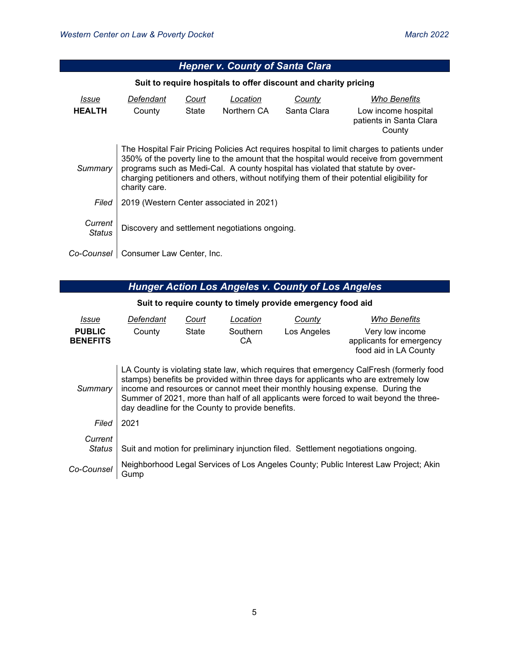| <b>Hepner v. County of Santa Clara</b>                          |                                                                                                                                                                                                                                                                                                                                                                                         |                |                                          |                       |                                                                          |  |  |
|-----------------------------------------------------------------|-----------------------------------------------------------------------------------------------------------------------------------------------------------------------------------------------------------------------------------------------------------------------------------------------------------------------------------------------------------------------------------------|----------------|------------------------------------------|-----------------------|--------------------------------------------------------------------------|--|--|
| Suit to require hospitals to offer discount and charity pricing |                                                                                                                                                                                                                                                                                                                                                                                         |                |                                          |                       |                                                                          |  |  |
| Issue<br><b>HEALTH</b>                                          | Defendant<br>County                                                                                                                                                                                                                                                                                                                                                                     | Court<br>State | Location<br>Northern CA                  | County<br>Santa Clara | Who Benefits<br>Low income hospital<br>patients in Santa Clara<br>County |  |  |
| Summary                                                         | The Hospital Fair Pricing Policies Act requires hospital to limit charges to patients under<br>350% of the poverty line to the amount that the hospital would receive from government<br>programs such as Medi-Cal. A county hospital has violated that statute by over-<br>charging petitioners and others, without notifying them of their potential eligibility for<br>charity care. |                |                                          |                       |                                                                          |  |  |
| Filed                                                           |                                                                                                                                                                                                                                                                                                                                                                                         |                | 2019 (Western Center associated in 2021) |                       |                                                                          |  |  |
| Current<br>Status                                               | Discovery and settlement negotiations ongoing.                                                                                                                                                                                                                                                                                                                                          |                |                                          |                       |                                                                          |  |  |
| Co-Counsel                                                      | Consumer Law Center, Inc.                                                                                                                                                                                                                                                                                                                                                               |                |                                          |                       |                                                                          |  |  |

# *Hunger Action Los Angeles v. County of Los Angeles*

### **Suit to require county to timely provide emergency food aid**

| Issue                            | Defendant                                                                                                                                                                                                                                                                                                                                                                                                     | Court | Location       | County      | <b>Who Benefits</b>                                                                  |  |  |
|----------------------------------|---------------------------------------------------------------------------------------------------------------------------------------------------------------------------------------------------------------------------------------------------------------------------------------------------------------------------------------------------------------------------------------------------------------|-------|----------------|-------------|--------------------------------------------------------------------------------------|--|--|
| <b>PUBLIC</b><br><b>BENEFITS</b> | County                                                                                                                                                                                                                                                                                                                                                                                                        | State | Southern<br>СA | Los Angeles | Very low income<br>applicants for emergency<br>food aid in LA County                 |  |  |
| Summary                          | LA County is violating state law, which requires that emergency CalFresh (formerly food<br>stamps) benefits be provided within three days for applicants who are extremely low<br>income and resources or cannot meet their monthly housing expense. During the<br>Summer of 2021, more than half of all applicants were forced to wait beyond the three-<br>day deadline for the County to provide benefits. |       |                |             |                                                                                      |  |  |
| Filed                            | 2021                                                                                                                                                                                                                                                                                                                                                                                                          |       |                |             |                                                                                      |  |  |
| Current<br>Status                |                                                                                                                                                                                                                                                                                                                                                                                                               |       |                |             | Suit and motion for preliminary injunction filed. Settlement negotiations ongoing.   |  |  |
| Co-Counsel                       | Gump                                                                                                                                                                                                                                                                                                                                                                                                          |       |                |             | Neighborhood Legal Services of Los Angeles County; Public Interest Law Project; Akin |  |  |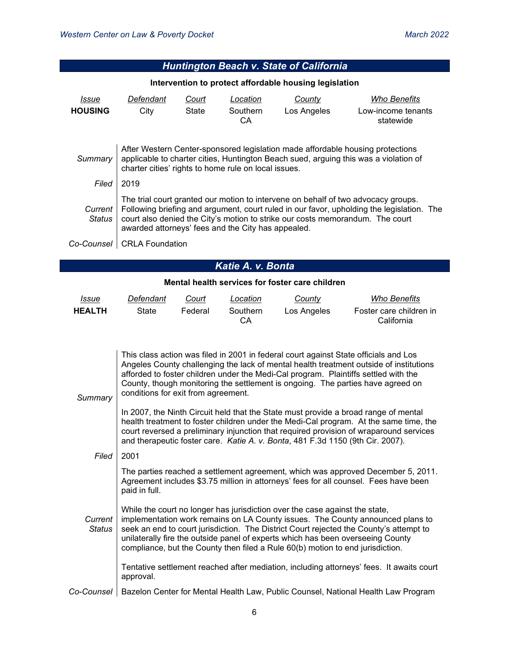| <b>Huntington Beach v. State of California</b>                                                                                                                                                                                              |                                                                                                                                                                                                                                                                                                                       |                |                            |                       |                                                 |  |  |
|---------------------------------------------------------------------------------------------------------------------------------------------------------------------------------------------------------------------------------------------|-----------------------------------------------------------------------------------------------------------------------------------------------------------------------------------------------------------------------------------------------------------------------------------------------------------------------|----------------|----------------------------|-----------------------|-------------------------------------------------|--|--|
|                                                                                                                                                                                                                                             | Intervention to protect affordable housing legislation                                                                                                                                                                                                                                                                |                |                            |                       |                                                 |  |  |
| Issue<br><b>HOUSING</b>                                                                                                                                                                                                                     | Defendant<br>City                                                                                                                                                                                                                                                                                                     | Court<br>State | Location<br>Southern<br>CA | County<br>Los Angeles | Who Benefits<br>Low-income tenants<br>statewide |  |  |
| After Western Center-sponsored legislation made affordable housing protections<br>applicable to charter cities, Huntington Beach sued, arguing this was a violation of<br>Summary  <br>charter cities' rights to home rule on local issues. |                                                                                                                                                                                                                                                                                                                       |                |                            |                       |                                                 |  |  |
| Filed                                                                                                                                                                                                                                       | 2019                                                                                                                                                                                                                                                                                                                  |                |                            |                       |                                                 |  |  |
| Current I<br>Status                                                                                                                                                                                                                         | The trial court granted our motion to intervene on behalf of two advocacy groups.<br>Following briefing and argument, court ruled in our favor, upholding the legislation. The<br>court also denied the City's motion to strike our costs memorandum. The court<br>awarded attorneys' fees and the City has appealed. |                |                            |                       |                                                 |  |  |
| Co-Counsel                                                                                                                                                                                                                                  | <b>CRLA Foundation</b>                                                                                                                                                                                                                                                                                                |                |                            |                       |                                                 |  |  |

# *Katie A. v. Bonta*

#### **Mental health services for foster care children**

| <u>Issue</u>  | Defendant | Court   | Location       | County      | <b>Who Benefits</b>                   |
|---------------|-----------|---------|----------------|-------------|---------------------------------------|
| <b>HEALTH</b> | State     | Federal | Southern<br>СA | Los Angeles | Foster care children in<br>California |

| Summary           | This class action was filed in 2001 in federal court against State officials and Los<br>Angeles County challenging the lack of mental health treatment outside of institutions<br>afforded to foster children under the Medi-Cal program. Plaintiffs settled with the<br>County, though monitoring the settlement is ongoing. The parties have agreed on<br>conditions for exit from agreement.                              |
|-------------------|------------------------------------------------------------------------------------------------------------------------------------------------------------------------------------------------------------------------------------------------------------------------------------------------------------------------------------------------------------------------------------------------------------------------------|
|                   | In 2007, the Ninth Circuit held that the State must provide a broad range of mental<br>health treatment to foster children under the Medi-Cal program. At the same time, the<br>court reversed a preliminary injunction that required provision of wraparound services<br>and therapeutic foster care. Katie A. v. Bonta, 481 F.3d 1150 (9th Cir. 2007).                                                                     |
| Filed             | 2001                                                                                                                                                                                                                                                                                                                                                                                                                         |
|                   | The parties reached a settlement agreement, which was approved December 5, 2011.<br>Agreement includes \$3.75 million in attorneys' fees for all counsel. Fees have been<br>paid in full.                                                                                                                                                                                                                                    |
| Current<br>Status | While the court no longer has jurisdiction over the case against the state,<br>implementation work remains on LA County issues. The County announced plans to<br>seek an end to court jurisdiction. The District Court rejected the County's attempt to<br>unilaterally fire the outside panel of experts which has been overseeing County<br>compliance, but the County then filed a Rule 60(b) motion to end jurisdiction. |
|                   | Tentative settlement reached after mediation, including attorneys' fees. It awaits court<br>approval.                                                                                                                                                                                                                                                                                                                        |
| Co-Counsel        | Bazelon Center for Mental Health Law, Public Counsel, National Health Law Program                                                                                                                                                                                                                                                                                                                                            |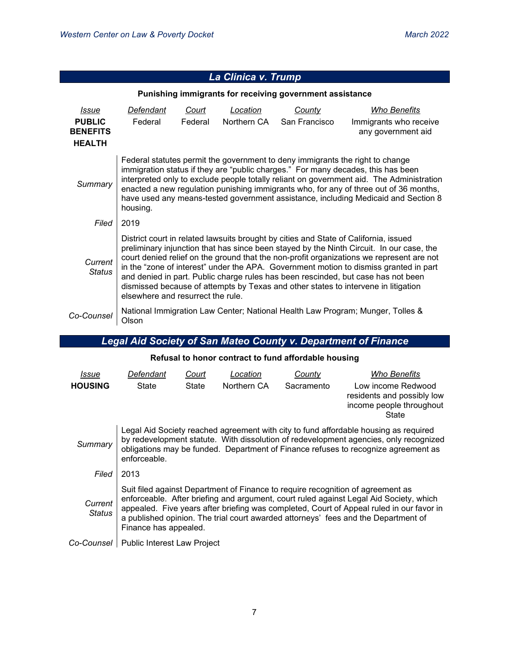|                                                          |                                                                                                                                                                                                                                                                                                                                                                                                                                                                                                                                                                                       |         | La Clinica V. Trump |               |                                                                                |  |  |  |
|----------------------------------------------------------|---------------------------------------------------------------------------------------------------------------------------------------------------------------------------------------------------------------------------------------------------------------------------------------------------------------------------------------------------------------------------------------------------------------------------------------------------------------------------------------------------------------------------------------------------------------------------------------|---------|---------------------|---------------|--------------------------------------------------------------------------------|--|--|--|
| Punishing immigrants for receiving government assistance |                                                                                                                                                                                                                                                                                                                                                                                                                                                                                                                                                                                       |         |                     |               |                                                                                |  |  |  |
| <i>Issue</i>                                             | Defendant                                                                                                                                                                                                                                                                                                                                                                                                                                                                                                                                                                             | Court   | Location            | <b>County</b> | Who Benefits                                                                   |  |  |  |
| <b>PUBLIC</b><br><b>BENEFITS</b>                         | Federal                                                                                                                                                                                                                                                                                                                                                                                                                                                                                                                                                                               | Federal | Northern CA         | San Francisco | Immigrants who receive<br>any government aid                                   |  |  |  |
| <b>HEALTH</b>                                            |                                                                                                                                                                                                                                                                                                                                                                                                                                                                                                                                                                                       |         |                     |               |                                                                                |  |  |  |
| Summary                                                  | Federal statutes permit the government to deny immigrants the right to change<br>immigration status if they are "public charges." For many decades, this has been<br>interpreted only to exclude people totally reliant on government aid. The Administration<br>enacted a new regulation punishing immigrants who, for any of three out of 36 months,<br>have used any means-tested government assistance, including Medicaid and Section 8<br>housing.                                                                                                                              |         |                     |               |                                                                                |  |  |  |
| Filed                                                    | 2019                                                                                                                                                                                                                                                                                                                                                                                                                                                                                                                                                                                  |         |                     |               |                                                                                |  |  |  |
| Current<br><b>Status</b>                                 | District court in related lawsuits brought by cities and State of California, issued<br>preliminary injunction that has since been stayed by the Ninth Circuit. In our case, the<br>court denied relief on the ground that the non-profit organizations we represent are not<br>in the "zone of interest" under the APA. Government motion to dismiss granted in part<br>and denied in part. Public charge rules has been rescinded, but case has not been<br>dismissed because of attempts by Texas and other states to intervene in litigation<br>elsewhere and resurrect the rule. |         |                     |               |                                                                                |  |  |  |
| Co-Counsel                                               | Olson                                                                                                                                                                                                                                                                                                                                                                                                                                                                                                                                                                                 |         |                     |               | National Immigration Law Center; National Health Law Program; Munger, Tolles & |  |  |  |

# *La Clinica v. Trump*

# *Legal Aid Society of San Mateo County v. Department of Finance*

| Refusal to honor contract to fund affordable housing |  |  |  |
|------------------------------------------------------|--|--|--|
|------------------------------------------------------|--|--|--|

| Issue             | Defendant                                                                                                                                                                                                                                                                                                                                                                            | Court | Location    | County     | <b>Who Benefits</b>                                                                   |  |  |  |
|-------------------|--------------------------------------------------------------------------------------------------------------------------------------------------------------------------------------------------------------------------------------------------------------------------------------------------------------------------------------------------------------------------------------|-------|-------------|------------|---------------------------------------------------------------------------------------|--|--|--|
| <b>HOUSING</b>    | State                                                                                                                                                                                                                                                                                                                                                                                | State | Northern CA | Sacramento | Low income Redwood<br>residents and possibly low<br>income people throughout<br>State |  |  |  |
| Summary           | Legal Aid Society reached agreement with city to fund affordable housing as required<br>by redevelopment statute. With dissolution of redevelopment agencies, only recognized<br>obligations may be funded. Department of Finance refuses to recognize agreement as<br>enforceable.                                                                                                  |       |             |            |                                                                                       |  |  |  |
| Filed             | 2013                                                                                                                                                                                                                                                                                                                                                                                 |       |             |            |                                                                                       |  |  |  |
| Current<br>Status | Suit filed against Department of Finance to require recognition of agreement as<br>enforceable. After briefing and argument, court ruled against Legal Aid Society, which<br>appealed. Five years after briefing was completed, Court of Appeal ruled in our favor in<br>a published opinion. The trial court awarded attorneys' fees and the Department of<br>Finance has appealed. |       |             |            |                                                                                       |  |  |  |
| Co-Counsel        | Public Interest Law Project                                                                                                                                                                                                                                                                                                                                                          |       |             |            |                                                                                       |  |  |  |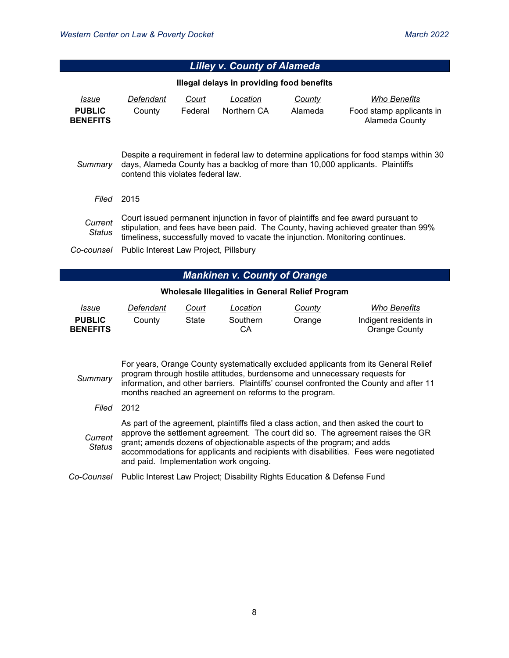|                                           | <b>Lilley v. County of Alameda</b>                                                                                                                                                                                                                                                                                     |                                                                                                                                                                                                                                                                                                                                                                                       |                                                                         |         |                                            |  |  |
|-------------------------------------------|------------------------------------------------------------------------------------------------------------------------------------------------------------------------------------------------------------------------------------------------------------------------------------------------------------------------|---------------------------------------------------------------------------------------------------------------------------------------------------------------------------------------------------------------------------------------------------------------------------------------------------------------------------------------------------------------------------------------|-------------------------------------------------------------------------|---------|--------------------------------------------|--|--|
| Illegal delays in providing food benefits |                                                                                                                                                                                                                                                                                                                        |                                                                                                                                                                                                                                                                                                                                                                                       |                                                                         |         |                                            |  |  |
| Issue                                     | Defendant                                                                                                                                                                                                                                                                                                              | Court                                                                                                                                                                                                                                                                                                                                                                                 | Location                                                                | County  | <b>Who Benefits</b>                        |  |  |
| <b>PUBLIC</b><br><b>BENEFITS</b>          | County                                                                                                                                                                                                                                                                                                                 | Federal                                                                                                                                                                                                                                                                                                                                                                               | Northern CA                                                             | Alameda | Food stamp applicants in<br>Alameda County |  |  |
| Summary                                   | Despite a requirement in federal law to determine applications for food stamps within 30<br>days, Alameda County has a backlog of more than 10,000 applicants. Plaintiffs<br>contend this violates federal law.                                                                                                        |                                                                                                                                                                                                                                                                                                                                                                                       |                                                                         |         |                                            |  |  |
| Filed                                     | 2015                                                                                                                                                                                                                                                                                                                   |                                                                                                                                                                                                                                                                                                                                                                                       |                                                                         |         |                                            |  |  |
| Current<br><b>Status</b>                  | Court issued permanent injunction in favor of plaintiffs and fee award pursuant to<br>stipulation, and fees have been paid. The County, having achieved greater than 99%<br>timeliness, successfully moved to vacate the injunction. Monitoring continues.                                                             |                                                                                                                                                                                                                                                                                                                                                                                       |                                                                         |         |                                            |  |  |
| Co-counsel                                | Public Interest Law Project, Pillsbury                                                                                                                                                                                                                                                                                 |                                                                                                                                                                                                                                                                                                                                                                                       |                                                                         |         |                                            |  |  |
|                                           |                                                                                                                                                                                                                                                                                                                        |                                                                                                                                                                                                                                                                                                                                                                                       | <b>Mankinen v. County of Orange</b>                                     |         |                                            |  |  |
|                                           |                                                                                                                                                                                                                                                                                                                        |                                                                                                                                                                                                                                                                                                                                                                                       | Wholesale Illegalities in General Relief Program                        |         |                                            |  |  |
| Issue                                     | Defendant                                                                                                                                                                                                                                                                                                              | Court                                                                                                                                                                                                                                                                                                                                                                                 | Location                                                                | County  | <b>Who Benefits</b>                        |  |  |
| <b>PUBLIC</b><br><b>BENEFITS</b>          | County                                                                                                                                                                                                                                                                                                                 | State                                                                                                                                                                                                                                                                                                                                                                                 | Southern<br>CА                                                          | Orange  | Indigent residents in<br>Orange County     |  |  |
|                                           |                                                                                                                                                                                                                                                                                                                        |                                                                                                                                                                                                                                                                                                                                                                                       |                                                                         |         |                                            |  |  |
| Summary                                   | For years, Orange County systematically excluded applicants from its General Relief<br>program through hostile attitudes, burdensome and unnecessary requests for<br>information, and other barriers. Plaintiffs' counsel confronted the County and after 11<br>months reached an agreement on reforms to the program. |                                                                                                                                                                                                                                                                                                                                                                                       |                                                                         |         |                                            |  |  |
| Filed                                     | 2012                                                                                                                                                                                                                                                                                                                   |                                                                                                                                                                                                                                                                                                                                                                                       |                                                                         |         |                                            |  |  |
| Current<br><b>Status</b>                  |                                                                                                                                                                                                                                                                                                                        | As part of the agreement, plaintiffs filed a class action, and then asked the court to<br>approve the settlement agreement. The court did so. The agreement raises the GR<br>grant; amends dozens of objectionable aspects of the program; and adds<br>accommodations for applicants and recipients with disabilities. Fees were negotiated<br>and paid. Implementation work ongoing. |                                                                         |         |                                            |  |  |
| Co-Counsel I                              |                                                                                                                                                                                                                                                                                                                        |                                                                                                                                                                                                                                                                                                                                                                                       | Public Interest Law Project; Disability Rights Education & Defense Fund |         |                                            |  |  |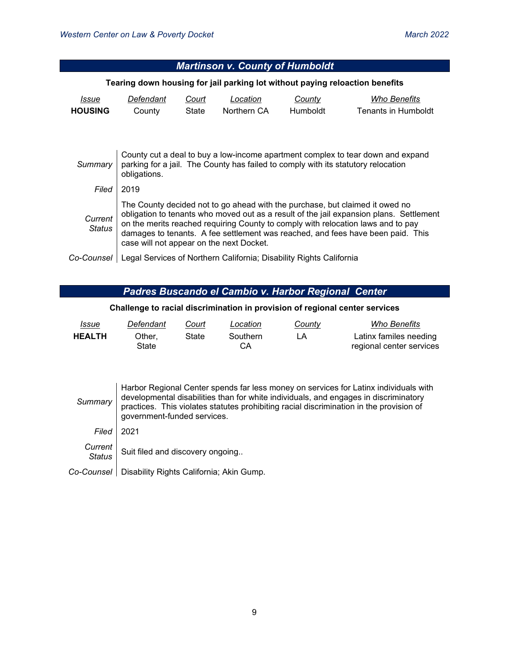| <b>Martinson v. County of Humboldt</b>                                                                                                                                                          |                                                                                                                                                                                                                                                                                                                                                                                            |                |                                                                     |                           |                                     |  |  |  |
|-------------------------------------------------------------------------------------------------------------------------------------------------------------------------------------------------|--------------------------------------------------------------------------------------------------------------------------------------------------------------------------------------------------------------------------------------------------------------------------------------------------------------------------------------------------------------------------------------------|----------------|---------------------------------------------------------------------|---------------------------|-------------------------------------|--|--|--|
| Tearing down housing for jail parking lot without paying reloaction benefits                                                                                                                    |                                                                                                                                                                                                                                                                                                                                                                                            |                |                                                                     |                           |                                     |  |  |  |
| Issue<br><b>HOUSING</b>                                                                                                                                                                         | Defendant<br>County                                                                                                                                                                                                                                                                                                                                                                        | Court<br>State | Location<br>Northern CA                                             | County<br><b>Humboldt</b> | Who Benefits<br>Tenants in Humboldt |  |  |  |
| County cut a deal to buy a low-income apartment complex to tear down and expand<br>parking for a jail. The County has failed to comply with its statutory relocation<br>Summary<br>obligations. |                                                                                                                                                                                                                                                                                                                                                                                            |                |                                                                     |                           |                                     |  |  |  |
| Filed                                                                                                                                                                                           | 2019                                                                                                                                                                                                                                                                                                                                                                                       |                |                                                                     |                           |                                     |  |  |  |
| Current<br><b>Status</b>                                                                                                                                                                        | The County decided not to go ahead with the purchase, but claimed it owed no<br>obligation to tenants who moved out as a result of the jail expansion plans. Settlement<br>on the merits reached requiring County to comply with relocation laws and to pay<br>damages to tenants. A fee settlement was reached, and fees have been paid. This<br>case will not appear on the next Docket. |                |                                                                     |                           |                                     |  |  |  |
| Co-Counsel                                                                                                                                                                                      |                                                                                                                                                                                                                                                                                                                                                                                            |                | Legal Services of Northern California; Disability Rights California |                           |                                     |  |  |  |

### *Padres Buscando el Cambio v. Harbor Regional Center*

#### **Challenge to racial discrimination in provision of regional center services**

| <u>Issue</u>  | Defendant       | Court | Location              | County | Who Benefits                                       |
|---------------|-----------------|-------|-----------------------|--------|----------------------------------------------------|
| <b>HEALTH</b> | Other.<br>State | State | Southern<br><b>CA</b> |        | Latinx familes needing<br>regional center services |

| Summary        | Harbor Regional Center spends far less money on services for Latinx individuals with<br>developmental disabilities than for white individuals, and engages in discriminatory<br>practices. This violates statutes prohibiting racial discrimination in the provision of<br>government-funded services. |
|----------------|--------------------------------------------------------------------------------------------------------------------------------------------------------------------------------------------------------------------------------------------------------------------------------------------------------|
| Filed          | 2021                                                                                                                                                                                                                                                                                                   |
| C <sub>1</sub> |                                                                                                                                                                                                                                                                                                        |

*Current*  Suit filed and discovery ongoing..

*Co-Counsel* Disability Rights California; Akin Gump.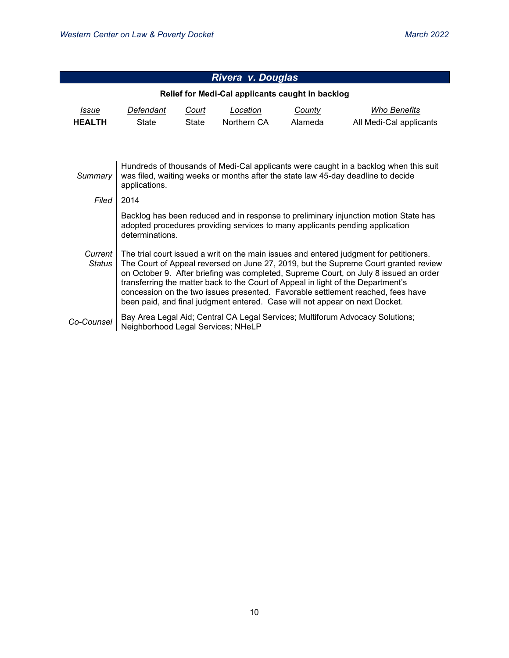| Rivera v. Douglas |                                                                                                                                                                                                                                                                                                                                                                                                                                                                                                                             |              |                                                  |         |                                                                               |  |  |  |
|-------------------|-----------------------------------------------------------------------------------------------------------------------------------------------------------------------------------------------------------------------------------------------------------------------------------------------------------------------------------------------------------------------------------------------------------------------------------------------------------------------------------------------------------------------------|--------------|--------------------------------------------------|---------|-------------------------------------------------------------------------------|--|--|--|
|                   |                                                                                                                                                                                                                                                                                                                                                                                                                                                                                                                             |              | Relief for Medi-Cal applicants caught in backlog |         |                                                                               |  |  |  |
| <i>Issue</i>      | Defendant<br><b>Who Benefits</b><br>Court<br>Location<br><u>County</u>                                                                                                                                                                                                                                                                                                                                                                                                                                                      |              |                                                  |         |                                                                               |  |  |  |
| <b>HEALTH</b>     | <b>State</b>                                                                                                                                                                                                                                                                                                                                                                                                                                                                                                                | <b>State</b> | Northern CA                                      | Alameda | All Medi-Cal applicants                                                       |  |  |  |
|                   |                                                                                                                                                                                                                                                                                                                                                                                                                                                                                                                             |              |                                                  |         |                                                                               |  |  |  |
| Summary           | Hundreds of thousands of Medi-Cal applicants were caught in a backlog when this suit<br>was filed, waiting weeks or months after the state law 45-day deadline to decide<br>applications.                                                                                                                                                                                                                                                                                                                                   |              |                                                  |         |                                                                               |  |  |  |
| Filed             | 2014                                                                                                                                                                                                                                                                                                                                                                                                                                                                                                                        |              |                                                  |         |                                                                               |  |  |  |
|                   | Backlog has been reduced and in response to preliminary injunction motion State has<br>adopted procedures providing services to many applicants pending application<br>determinations.                                                                                                                                                                                                                                                                                                                                      |              |                                                  |         |                                                                               |  |  |  |
| Current<br>Status | The trial court issued a writ on the main issues and entered judgment for petitioners.<br>The Court of Appeal reversed on June 27, 2019, but the Supreme Court granted review<br>on October 9. After briefing was completed, Supreme Court, on July 8 issued an order<br>transferring the matter back to the Court of Appeal in light of the Department's<br>concession on the two issues presented. Favorable settlement reached, fees have<br>been paid, and final judgment entered. Case will not appear on next Docket. |              |                                                  |         |                                                                               |  |  |  |
| Co-Counsel        | Neighborhood Legal Services; NHeLP                                                                                                                                                                                                                                                                                                                                                                                                                                                                                          |              |                                                  |         | Bay Area Legal Aid; Central CA Legal Services; Multiforum Advocacy Solutions; |  |  |  |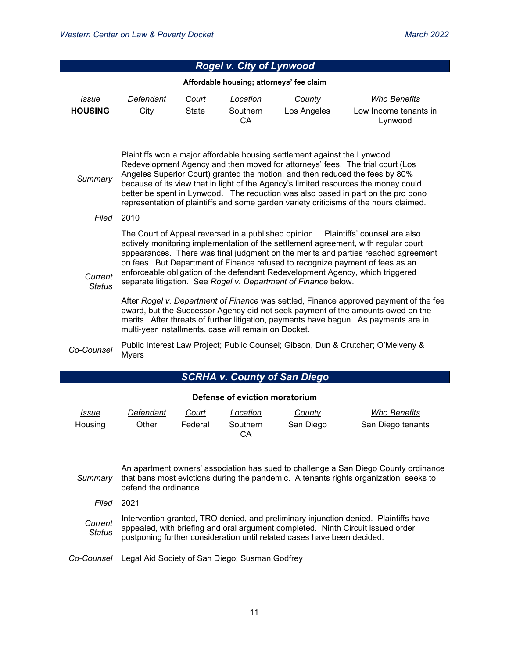| Rogel v. City of Lynwood |                                                                                                                                                                                                                                                                                                                                                                                                                                                                                                               |                              |                                          |                              |                                                                                  |  |  |  |
|--------------------------|---------------------------------------------------------------------------------------------------------------------------------------------------------------------------------------------------------------------------------------------------------------------------------------------------------------------------------------------------------------------------------------------------------------------------------------------------------------------------------------------------------------|------------------------------|------------------------------------------|------------------------------|----------------------------------------------------------------------------------|--|--|--|
|                          |                                                                                                                                                                                                                                                                                                                                                                                                                                                                                                               |                              | Affordable housing; attorneys' fee claim |                              |                                                                                  |  |  |  |
| Issue<br><b>HOUSING</b>  | Defendant<br>City                                                                                                                                                                                                                                                                                                                                                                                                                                                                                             | <u>Court</u><br><b>State</b> | Location<br>Southern<br>CA               | <b>County</b><br>Los Angeles | <b>Who Benefits</b><br>Low Income tenants in<br>Lynwood                          |  |  |  |
| Summary                  | Plaintiffs won a major affordable housing settlement against the Lynwood<br>Redevelopment Agency and then moved for attorneys' fees. The trial court (Los<br>Angeles Superior Court) granted the motion, and then reduced the fees by 80%<br>because of its view that in light of the Agency's limited resources the money could<br>better be spent in Lynwood. The reduction was also based in part on the pro bono<br>representation of plaintiffs and some garden variety criticisms of the hours claimed. |                              |                                          |                              |                                                                                  |  |  |  |
| Filed                    | 2010                                                                                                                                                                                                                                                                                                                                                                                                                                                                                                          |                              |                                          |                              |                                                                                  |  |  |  |
| Current<br><b>Status</b> | The Court of Appeal reversed in a published opinion.  Plaintiffs' counsel are also<br>actively monitoring implementation of the settlement agreement, with regular court<br>appearances. There was final judgment on the merits and parties reached agreement<br>on fees. But Department of Finance refused to recognize payment of fees as an<br>enforceable obligation of the defendant Redevelopment Agency, which triggered<br>separate litigation. See Rogel v. Department of Finance below.             |                              |                                          |                              |                                                                                  |  |  |  |
|                          | After Rogel v. Department of Finance was settled, Finance approved payment of the fee<br>award, but the Successor Agency did not seek payment of the amounts owed on the<br>merits. After threats of further litigation, payments have begun. As payments are in<br>multi-year installments, case will remain on Docket.                                                                                                                                                                                      |                              |                                          |                              |                                                                                  |  |  |  |
| Co-Counsel               | <b>Myers</b>                                                                                                                                                                                                                                                                                                                                                                                                                                                                                                  |                              |                                          |                              | Public Interest Law Project; Public Counsel; Gibson, Dun & Crutcher; O'Melveny & |  |  |  |

# *SCRHA v. County of San Diego*

| Defense of eviction moratorium |           |         |                |           |                   |
|--------------------------------|-----------|---------|----------------|-----------|-------------------|
| Issue                          | Defendant | Court   | Location       | County    | Who Benefits      |
| Housing                        | Other     | Federal | Southern<br>CА | San Diego | San Diego tenants |

|         | An apartment owners' association has sued to challenge a San Diego County ordinance<br>Summary $\vert$ that bans most evictions during the pandemic. A tenants rights organization seeks to<br>defend the ordinance.                                        |
|---------|-------------------------------------------------------------------------------------------------------------------------------------------------------------------------------------------------------------------------------------------------------------|
| Filed   | 2021                                                                                                                                                                                                                                                        |
| Current | Intervention granted, TRO denied, and preliminary injunction denied. Plaintiffs have<br>Status   appealed, with briefing and oral argument completed. Ninth Circuit issued order<br>postponing further consideration until related cases have been decided. |
|         | Co-Counsel   Legal Aid Society of San Diego; Susman Godfrey                                                                                                                                                                                                 |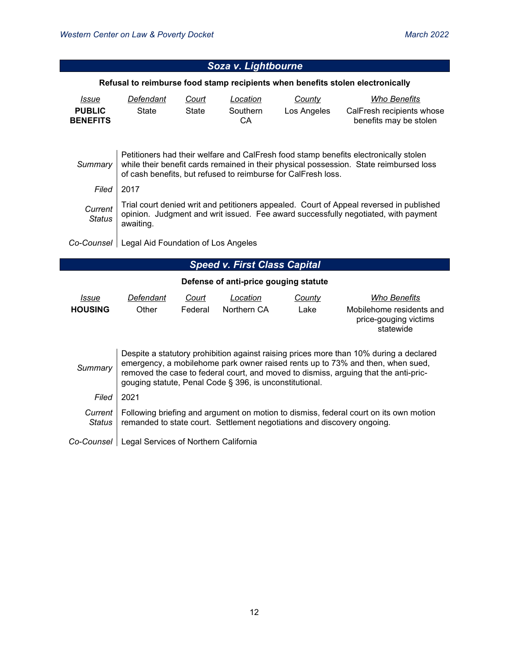| Soza v. Lightbourne              |                                                                                                                                                                                                                                                 |                  |                                       |                |                                                                                       |  |  |  |
|----------------------------------|-------------------------------------------------------------------------------------------------------------------------------------------------------------------------------------------------------------------------------------------------|------------------|---------------------------------------|----------------|---------------------------------------------------------------------------------------|--|--|--|
|                                  | Refusal to reimburse food stamp recipients when benefits stolen electronically                                                                                                                                                                  |                  |                                       |                |                                                                                       |  |  |  |
| <i>Issue</i>                     | Defendant<br>County<br><b>Who Benefits</b><br>Court<br>Location                                                                                                                                                                                 |                  |                                       |                |                                                                                       |  |  |  |
| <b>PUBLIC</b><br><b>BENEFITS</b> | <b>State</b>                                                                                                                                                                                                                                    | State            | Southern<br>CA                        | Los Angeles    | CalFresh recipients whose<br>benefits may be stolen                                   |  |  |  |
| Summary                          | Petitioners had their welfare and CalFresh food stamp benefits electronically stolen<br>while their benefit cards remained in their physical possession. State reimbursed loss<br>of cash benefits, but refused to reimburse for CalFresh loss. |                  |                                       |                |                                                                                       |  |  |  |
| Filed                            | 2017                                                                                                                                                                                                                                            |                  |                                       |                |                                                                                       |  |  |  |
| Current<br><b>Status</b>         | Trial court denied writ and petitioners appealed. Court of Appeal reversed in published<br>opinion. Judgment and writ issued. Fee award successfully negotiated, with payment<br>awaiting.                                                      |                  |                                       |                |                                                                                       |  |  |  |
|                                  | Legal Aid Foundation of Los Angeles<br>Co-Counsel                                                                                                                                                                                               |                  |                                       |                |                                                                                       |  |  |  |
|                                  |                                                                                                                                                                                                                                                 |                  | <b>Speed v. First Class Capital</b>   |                |                                                                                       |  |  |  |
|                                  |                                                                                                                                                                                                                                                 |                  | Defense of anti-price gouging statute |                |                                                                                       |  |  |  |
| Issue<br><b>HOUSING</b>          | Defendant<br>Other                                                                                                                                                                                                                              | Court<br>Federal | Location<br>Northern CA               | County<br>Lake | <b>Who Benefits</b><br>Mobilehome residents and<br>price-gouging victims<br>statewide |  |  |  |

| Summary                  | Despite a statutory prohibition against raising prices more than 10% during a declared<br>emergency, a mobilehome park owner raised rents up to 73% and then, when sued,<br>removed the case to federal court, and moved to dismiss, arguing that the anti-pric-<br>gouging statute, Penal Code § 396, is unconstitutional. |
|--------------------------|-----------------------------------------------------------------------------------------------------------------------------------------------------------------------------------------------------------------------------------------------------------------------------------------------------------------------------|
| Filed                    | 2021                                                                                                                                                                                                                                                                                                                        |
| Current<br><i>Status</i> | Following briefing and argument on motion to dismiss, federal court on its own motion<br>remanded to state court. Settlement negotiations and discovery ongoing.                                                                                                                                                            |
|                          | Co-Counsel   Legal Services of Northern California                                                                                                                                                                                                                                                                          |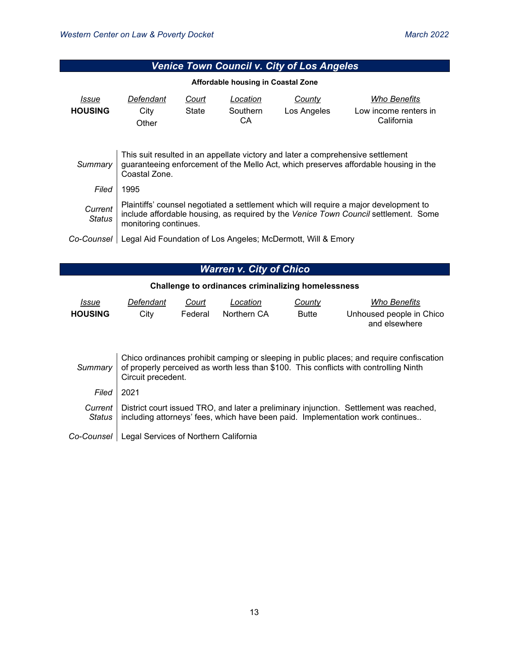| Venice Town Council v. City of Los Angeles |                                                                                                                                                                                                       |                |                                    |                                                              |                                                            |  |  |
|--------------------------------------------|-------------------------------------------------------------------------------------------------------------------------------------------------------------------------------------------------------|----------------|------------------------------------|--------------------------------------------------------------|------------------------------------------------------------|--|--|
|                                            |                                                                                                                                                                                                       |                | Affordable housing in Coastal Zone |                                                              |                                                            |  |  |
| Issue<br><b>HOUSING</b>                    | Defendant<br>City<br>Other                                                                                                                                                                            | Court<br>State | Location<br>Southern<br>CA.        | County<br>Los Angeles                                        | <b>Who Benefits</b><br>Low income renters in<br>California |  |  |
| Summary                                    | This suit resulted in an appellate victory and later a comprehensive settlement<br>guaranteeing enforcement of the Mello Act, which preserves affordable housing in the<br>Coastal Zone.              |                |                                    |                                                              |                                                            |  |  |
| Filed                                      | 1995                                                                                                                                                                                                  |                |                                    |                                                              |                                                            |  |  |
| Current<br><b>Status</b>                   | Plaintiffs' counsel negotiated a settlement which will require a major development to<br>include affordable housing, as required by the Venice Town Council settlement. Some<br>monitoring continues. |                |                                    |                                                              |                                                            |  |  |
| Co-Counsel                                 |                                                                                                                                                                                                       |                |                                    | Legal Aid Foundation of Los Angeles; McDermott, Will & Emory |                                                            |  |  |

# *Warren v. City of Chico*

### **Challenge to ordinances criminalizing homelessness**

| <u> Issue</u>  | Defendant | Court   | Location    | County       | Who Benefits             |
|----------------|-----------|---------|-------------|--------------|--------------------------|
| <b>HOUSING</b> | Citv      | Federal | Northern CA | <b>Butte</b> | Unhoused people in Chico |
|                |           |         |             |              | and elsewhere            |

| Summary             | Chico ordinances prohibit camping or sleeping in public places; and require confiscation<br>of properly perceived as worth less than \$100. This conflicts with controlling Ninth<br>Circuit precedent. |
|---------------------|---------------------------------------------------------------------------------------------------------------------------------------------------------------------------------------------------------|
| Filed               | 2021                                                                                                                                                                                                    |
| Current I<br>Status | District court issued TRO, and later a preliminary injunction. Settlement was reached,<br>including attorneys' fees, which have been paid. Implementation work continues                                |
| Co-Counsel          | Legal Services of Northern California                                                                                                                                                                   |